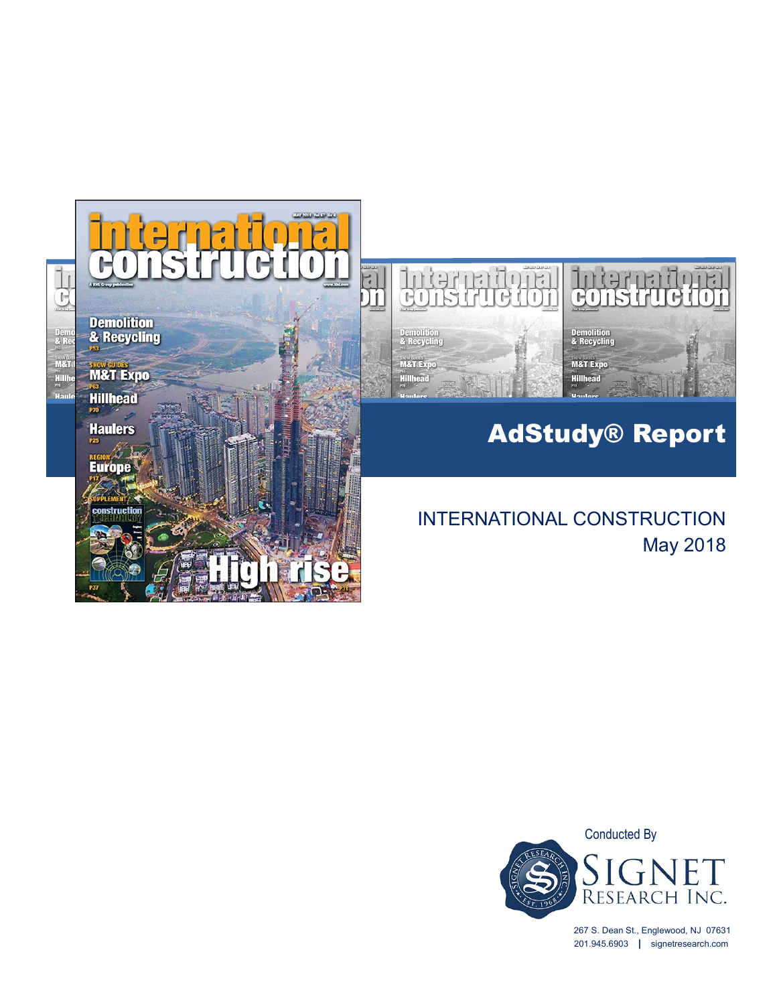



# AdStudy® Report

# INTERNATIONAL CONSTRUCTION May 2018



267 S. Dean St., Englewood, NJ 07631 201.945.6903 **|** signetresearch.com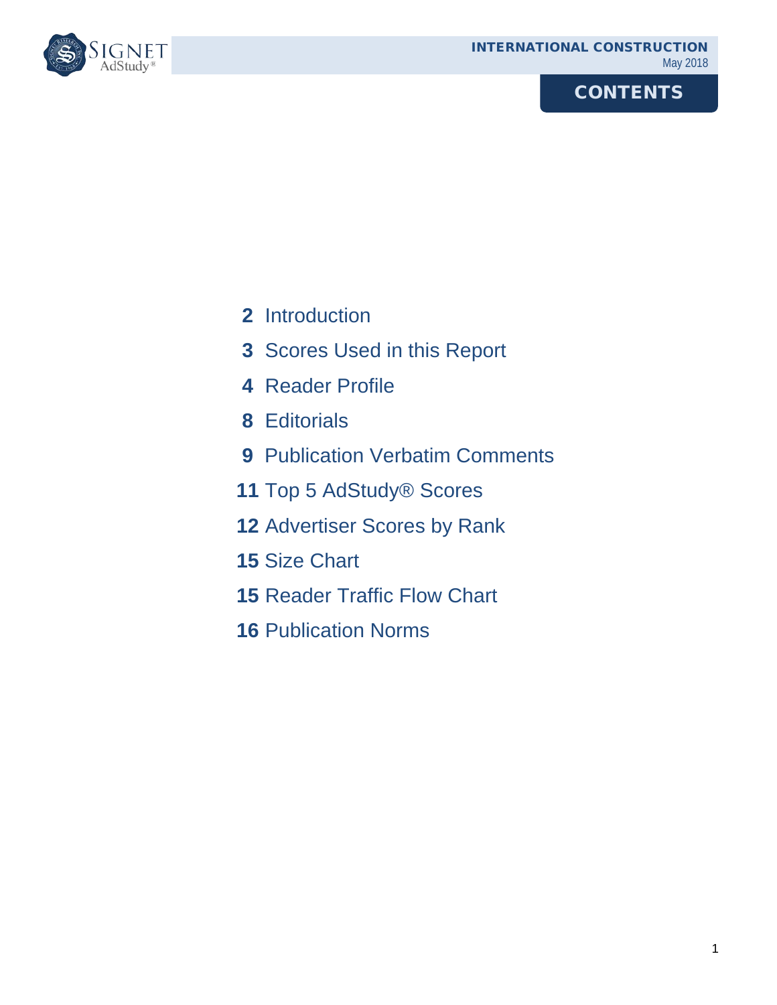# **CONTENTS**



- Introduction
- Scores Used in this Report
- Reader Profile
- Editorials
- Publication Verbatim Comments
- Top 5 AdStudy® Scores
- Advertiser Scores by Rank
- Size Chart
- Reader Traffic Flow Chart
- Publication Norms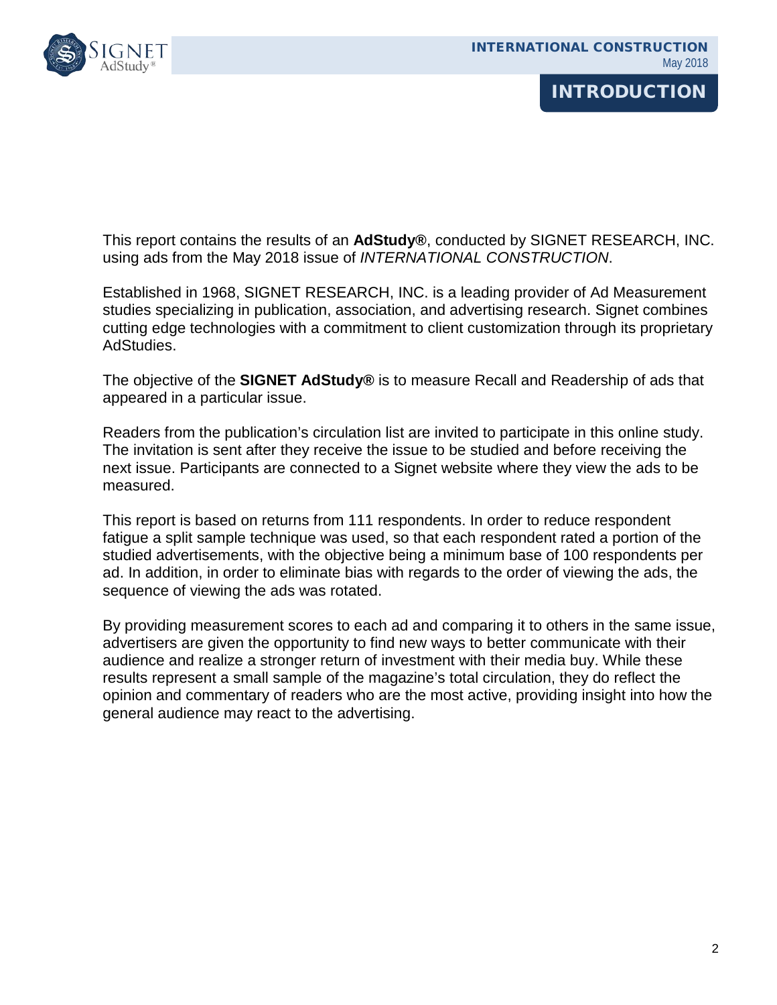# **INTRODUCTION**

This report contains the results of an **AdStudy®**, conducted by SIGNET RESEARCH, INC. using ads from the May 2018 issue of *INTERNATIONAL CONSTRUCTION*.

Established in 1968, SIGNET RESEARCH, INC. is a leading provider of Ad Measurement studies specializing in publication, association, and advertising research. Signet combines cutting edge technologies with a commitment to client customization through its proprietary AdStudies.

The objective of the **SIGNET AdStudy®** is to measure Recall and Readership of ads that appeared in a particular issue.

Readers from the publication's circulation list are invited to participate in this online study. The invitation is sent after they receive the issue to be studied and before receiving the next issue. Participants are connected to a Signet website where they view the ads to be measured.

This report is based on returns from 111 respondents. In order to reduce respondent fatigue a split sample technique was used, so that each respondent rated a portion of the studied advertisements, with the objective being a minimum base of 100 respondents per ad. In addition, in order to eliminate bias with regards to the order of viewing the ads, the sequence of viewing the ads was rotated.

By providing measurement scores to each ad and comparing it to others in the same issue, advertisers are given the opportunity to find new ways to better communicate with their audience and realize a stronger return of investment with their media buy. While these results represent a small sample of the magazine's total circulation, they do reflect the opinion and commentary of readers who are the most active, providing insight into how the general audience may react to the advertising.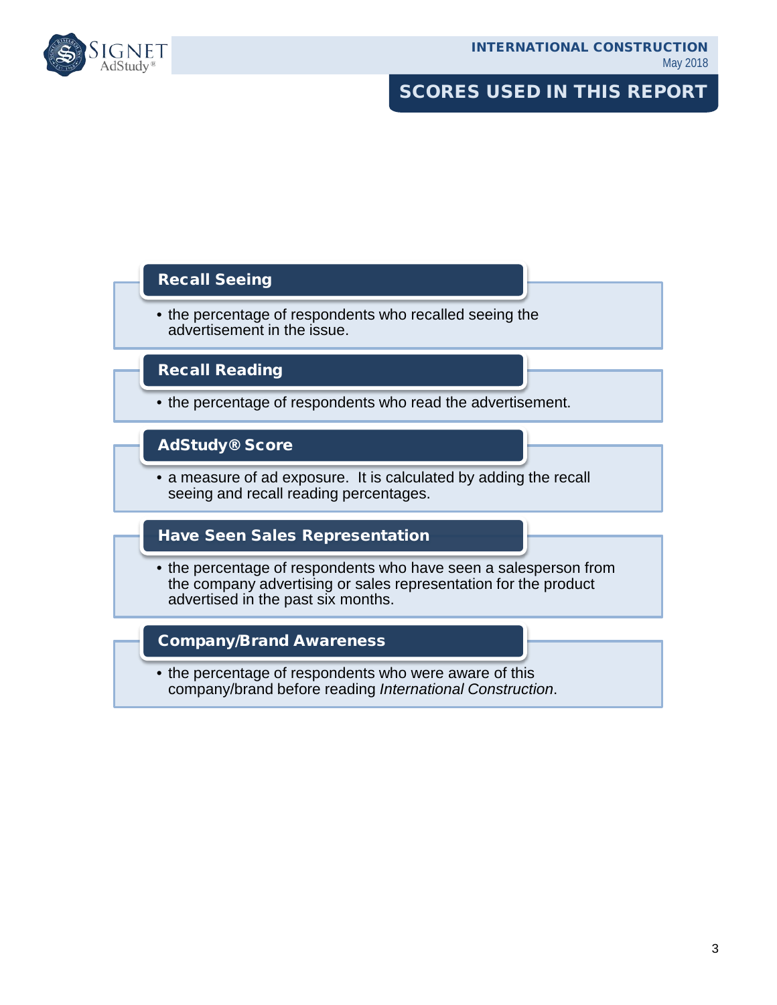

### SCORES USED IN THIS REPORT

#### Recall Seeing

• the percentage of respondents who recalled seeing the advertisement in the issue.

#### Recall Reading

• the percentage of respondents who read the advertisement.

#### AdStudy® Score

• a measure of ad exposure. It is calculated by adding the recall seeing and recall reading percentages.

#### Have Seen Sales Representation

• the percentage of respondents who have seen a salesperson from the company advertising or sales representation for the product advertised in the past six months.

#### Company/Brand Awareness

• the percentage of respondents who were aware of this company/brand before reading *International Construction*.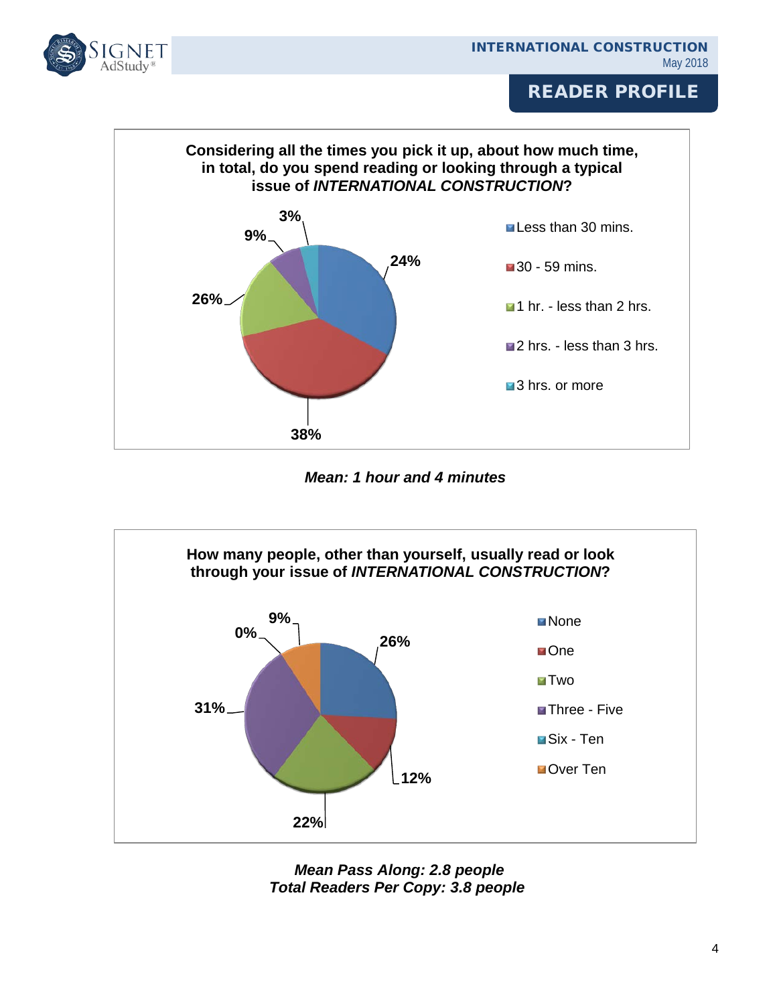



*Mean: 1 hour and 4 minutes*



 *Mean Pass Along: 2.8 people Total Readers Per Copy: 3.8 people*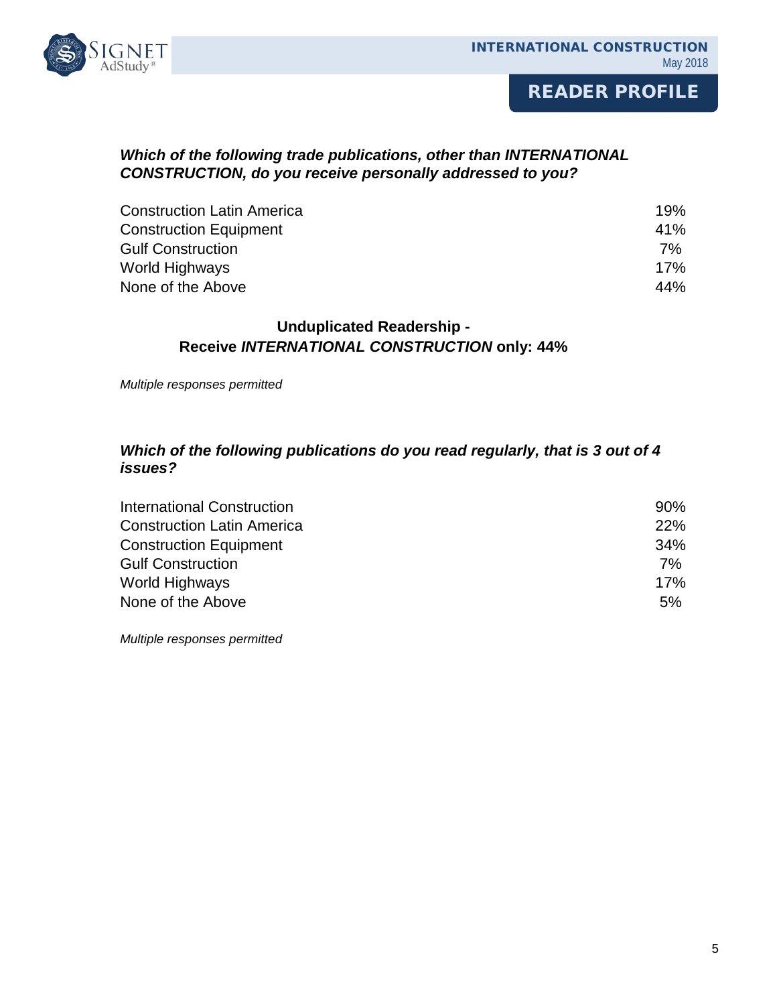

#### *Which of the following trade publications, other than INTERNATIONAL CONSTRUCTION, do you receive personally addressed to you?*

| <b>Construction Latin America</b> | 19%  |
|-----------------------------------|------|
| <b>Construction Equipment</b>     | 41%  |
| <b>Gulf Construction</b>          | 7% l |
| World Highways                    | 17%  |
| None of the Above                 | 44%  |

#### **Unduplicated Readership - Receive** *INTERNATIONAL CONSTRUCTION* **only: 44%**

*Multiple responses permitted*

#### *Which of the following publications do you read regularly, that is 3 out of 4 issues?*

| International Construction        | $90\%$ |
|-----------------------------------|--------|
| <b>Construction Latin America</b> | 22%    |
| <b>Construction Equipment</b>     | 34%    |
| <b>Gulf Construction</b>          | 7%     |
| World Highways                    | 17%    |
| None of the Above                 | 5%     |

*Multiple responses permitted*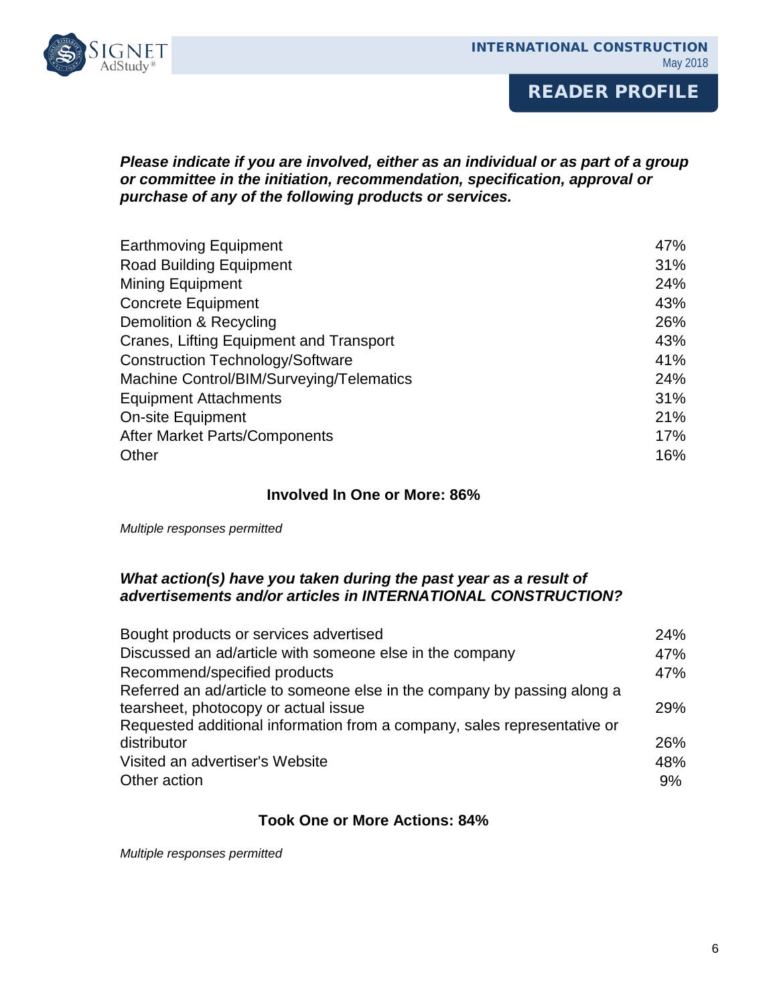

#### *Please indicate if you are involved, either as an individual or as part of a group or committee in the initiation, recommendation, specification, approval or purchase of any of the following products or services.*

| <b>Earthmoving Equipment</b>             | 47% |
|------------------------------------------|-----|
| <b>Road Building Equipment</b>           | 31% |
| <b>Mining Equipment</b>                  | 24% |
| <b>Concrete Equipment</b>                | 43% |
| Demolition & Recycling                   | 26% |
| Cranes, Lifting Equipment and Transport  | 43% |
| <b>Construction Technology/Software</b>  | 41% |
| Machine Control/BIM/Surveying/Telematics | 24% |
| <b>Equipment Attachments</b>             | 31% |
| <b>On-site Equipment</b>                 | 21% |
| After Market Parts/Components            | 17% |
| Other                                    | 16% |

#### **Involved In One or More: 86%**

*Multiple responses permitted*

#### *What action(s) have you taken during the past year as a result of advertisements and/or articles in INTERNATIONAL CONSTRUCTION?*

| Bought products or services advertised                                   | 24% |
|--------------------------------------------------------------------------|-----|
| Discussed an ad/article with someone else in the company                 | 47% |
| Recommend/specified products                                             | 47% |
| Referred an ad/article to someone else in the company by passing along a |     |
| tearsheet, photocopy or actual issue                                     | 29% |
| Requested additional information from a company, sales representative or |     |
| distributor                                                              | 26% |
| Visited an advertiser's Website                                          | 48% |
| Other action                                                             | 9%  |

#### **Took One or More Actions: 84%**

*Multiple responses permitted*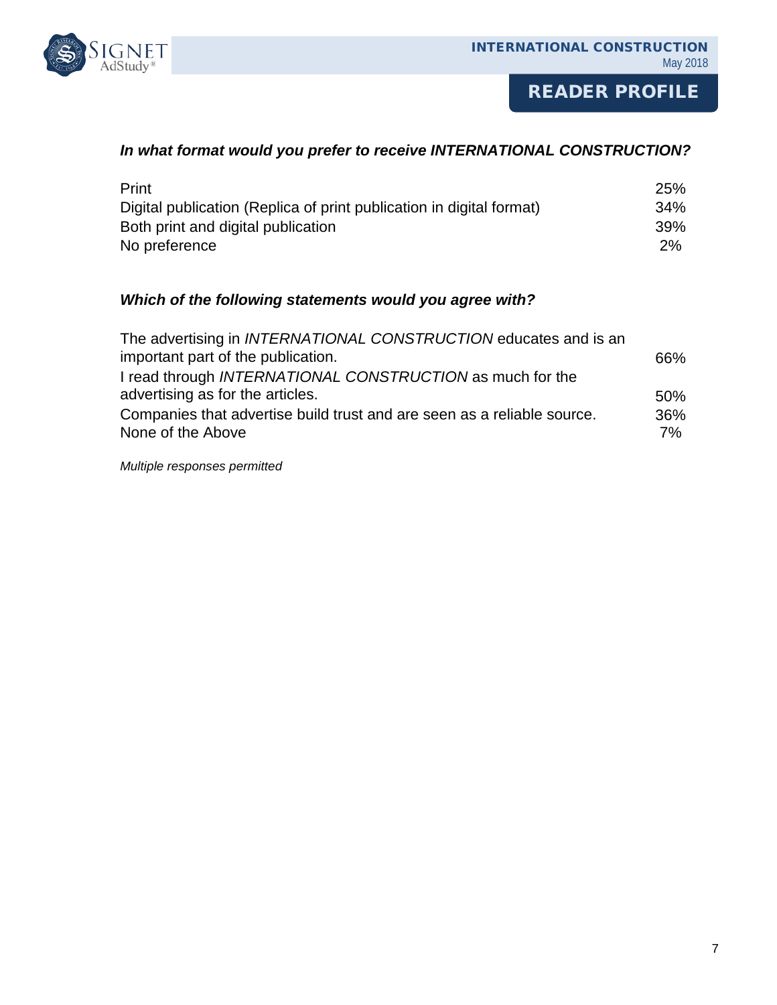

#### *In what format would you prefer to receive INTERNATIONAL CONSTRUCTION?*

| Print                                                                | <b>25%</b> |
|----------------------------------------------------------------------|------------|
| Digital publication (Replica of print publication in digital format) | 34%        |
| Both print and digital publication                                   | <b>39%</b> |
| No preference                                                        | 2%         |

#### *Which of the following statements would you agree with?*

| The advertising in <i>INTERNATIONAL CONSTRUCTION</i> educates and is an |      |
|-------------------------------------------------------------------------|------|
| important part of the publication.                                      | 66%  |
| I read through INTERNATIONAL CONSTRUCTION as much for the               |      |
| advertising as for the articles.                                        | 50%  |
| Companies that advertise build trust and are seen as a reliable source. | 36%  |
| None of the Above                                                       | 7% l |
|                                                                         |      |

*Multiple responses permitted*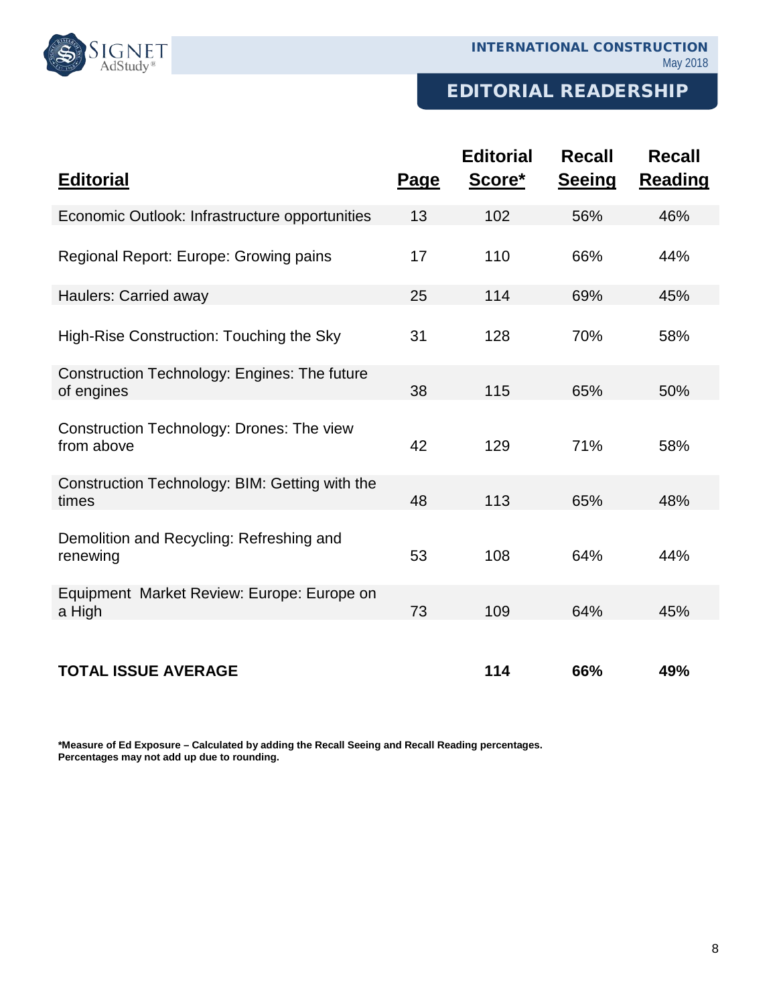

### EDITORIAL READERSHIP

| <b>Editorial</b>                                           | <u>Page</u> | <b>Editorial</b><br>Score* | <b>Recall</b><br><b>Seeing</b> | <b>Recall</b><br><b>Reading</b> |
|------------------------------------------------------------|-------------|----------------------------|--------------------------------|---------------------------------|
| Economic Outlook: Infrastructure opportunities             | 13          | 102                        | 56%                            | 46%                             |
| Regional Report: Europe: Growing pains                     | 17          | 110                        | 66%                            | 44%                             |
| Haulers: Carried away                                      | 25          | 114                        | 69%                            | 45%                             |
| High-Rise Construction: Touching the Sky                   | 31          | 128                        | 70%                            | 58%                             |
| Construction Technology: Engines: The future<br>of engines | 38          | 115                        | 65%                            | 50%                             |
| Construction Technology: Drones: The view<br>from above    | 42          | 129                        | 71%                            | 58%                             |
| Construction Technology: BIM: Getting with the<br>times    | 48          | 113                        | 65%                            | 48%                             |
| Demolition and Recycling: Refreshing and<br>renewing       | 53          | 108                        | 64%                            | 44%                             |
| Equipment Market Review: Europe: Europe on<br>a High       | 73          | 109                        | 64%                            | 45%                             |
| <b>TOTAL ISSUE AVERAGE</b>                                 |             | 114                        | 66%                            | 49%                             |

**\*Measure of Ed Exposure – Calculated by adding the Recall Seeing and Recall Reading percentages. Percentages may not add up due to rounding.**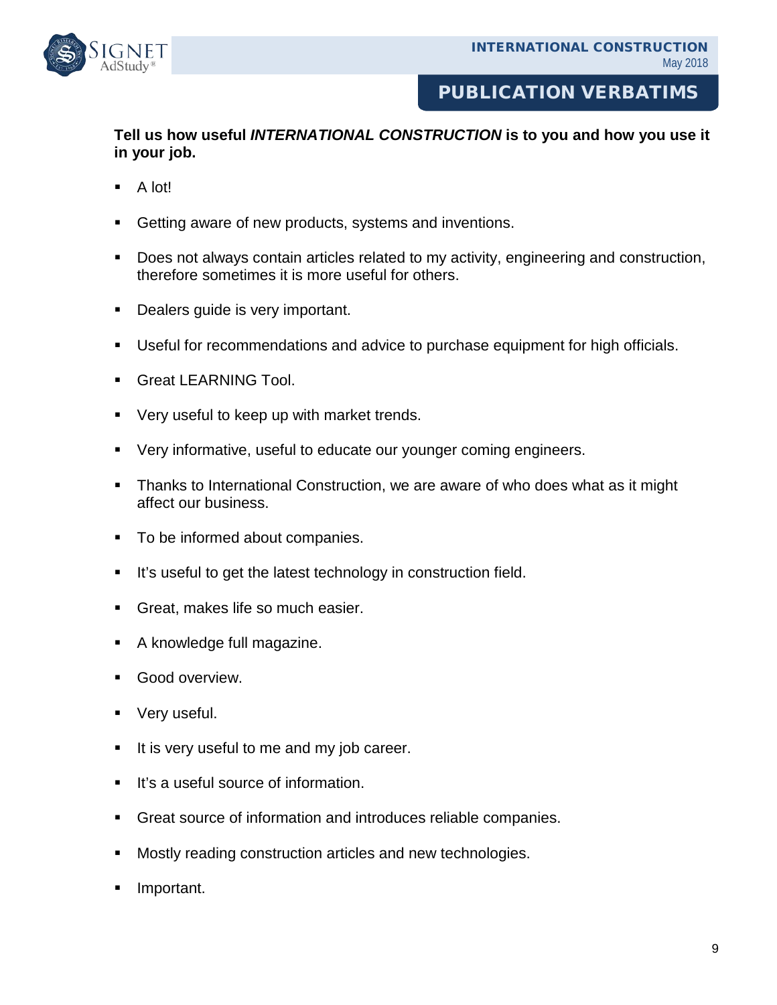

### PUBLICATION VERBATIMS

#### **Tell us how useful** *INTERNATIONAL CONSTRUCTION* **is to you and how you use it in your job.**

- $\blacksquare$  A lot!
- Getting aware of new products, systems and inventions.
- Does not always contain articles related to my activity, engineering and construction, therefore sometimes it is more useful for others.
- Dealers guide is very important.
- Useful for recommendations and advice to purchase equipment for high officials.
- **Great LEARNING Tool.**
- **•** Very useful to keep up with market trends.
- Very informative, useful to educate our younger coming engineers.
- **Thanks to International Construction, we are aware of who does what as it might** affect our business.
- **To be informed about companies.**
- It's useful to get the latest technology in construction field.
- **Great, makes life so much easier.**
- A knowledge full magazine.
- Good overview.
- Very useful.
- It is very useful to me and my job career.
- It's a useful source of information.
- Great source of information and introduces reliable companies.
- Mostly reading construction articles and new technologies.
- Important.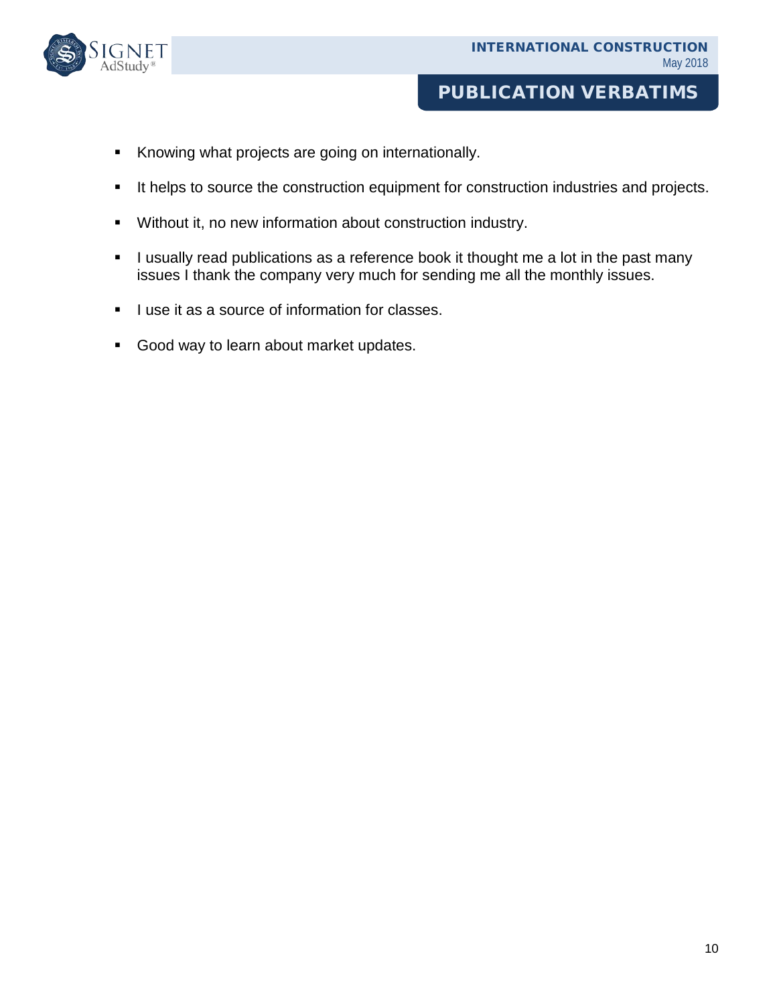

### PUBLICATION VERBATIMS

- Knowing what projects are going on internationally.
- It helps to source the construction equipment for construction industries and projects.
- Without it, no new information about construction industry.
- I usually read publications as a reference book it thought me a lot in the past many issues I thank the company very much for sending me all the monthly issues.
- I use it as a source of information for classes.
- Good way to learn about market updates.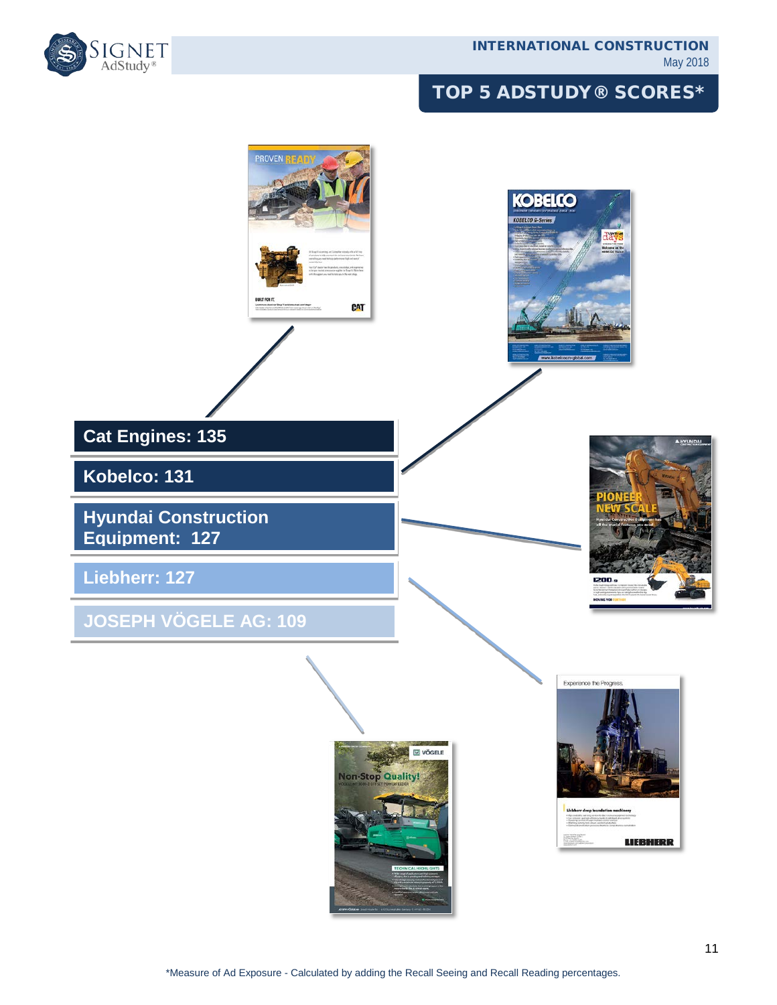

# TOP 5 ADSTUDY® SCORES\*

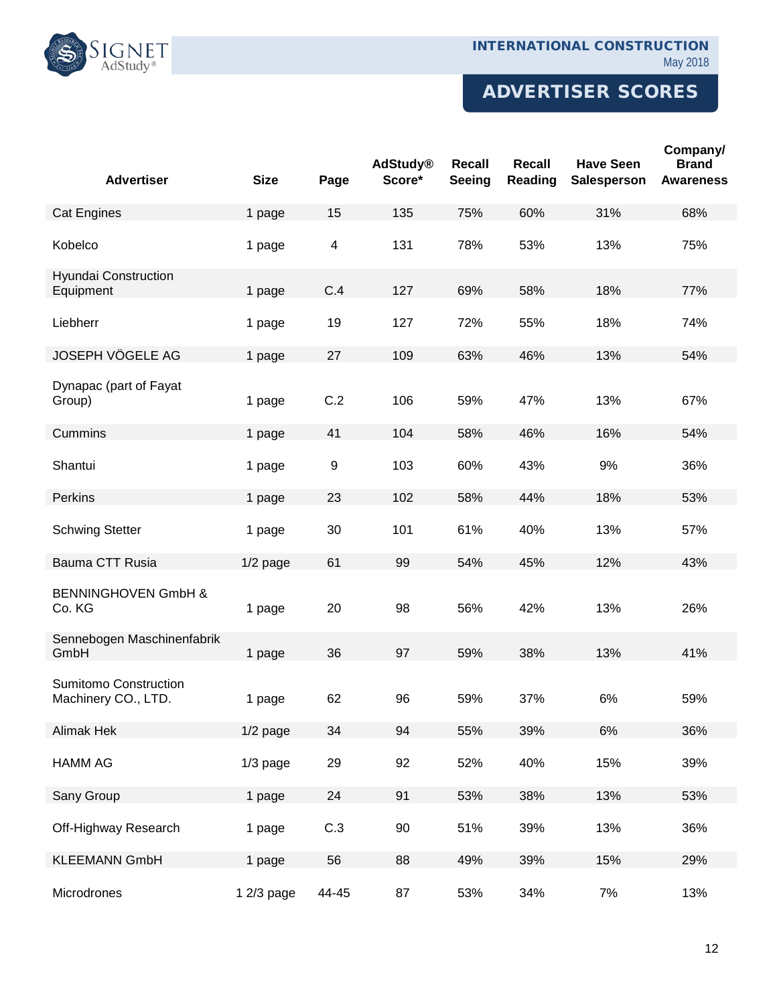#### INTERNATIONAL CONSTRUCTION May 2018



# ADVERTISER SCORES

| <b>Advertiser</b>                                   | <b>Size</b> | Page                    | <b>AdStudy®</b><br>Score* | <b>Recall</b><br>Seeing | Recall<br>Reading | <b>Have Seen</b><br>Salesperson | Company/<br><b>Brand</b><br><b>Awareness</b> |
|-----------------------------------------------------|-------------|-------------------------|---------------------------|-------------------------|-------------------|---------------------------------|----------------------------------------------|
| <b>Cat Engines</b>                                  | 1 page      | 15                      | 135                       | 75%                     | 60%               | 31%                             | 68%                                          |
| Kobelco                                             | 1 page      | $\overline{\mathbf{4}}$ | 131                       | 78%                     | 53%               | 13%                             | 75%                                          |
| Hyundai Construction<br>Equipment                   | 1 page      | C.4                     | 127                       | 69%                     | 58%               | 18%                             | 77%                                          |
| Liebherr                                            | 1 page      | 19                      | 127                       | 72%                     | 55%               | 18%                             | 74%                                          |
| JOSEPH VÖGELE AG                                    | 1 page      | 27                      | 109                       | 63%                     | 46%               | 13%                             | 54%                                          |
| Dynapac (part of Fayat<br>Group)                    | 1 page      | C.2                     | 106                       | 59%                     | 47%               | 13%                             | 67%                                          |
| Cummins                                             | 1 page      | 41                      | 104                       | 58%                     | 46%               | 16%                             | 54%                                          |
| Shantui                                             | 1 page      | $\boldsymbol{9}$        | 103                       | 60%                     | 43%               | 9%                              | 36%                                          |
| Perkins                                             | 1 page      | 23                      | 102                       | 58%                     | 44%               | 18%                             | 53%                                          |
| <b>Schwing Stetter</b>                              | 1 page      | 30                      | 101                       | 61%                     | 40%               | 13%                             | 57%                                          |
| Bauma CTT Rusia                                     | $1/2$ page  | 61                      | 99                        | 54%                     | 45%               | 12%                             | 43%                                          |
| <b>BENNINGHOVEN GmbH &amp;</b><br>Co. KG            | 1 page      | 20                      | 98                        | 56%                     | 42%               | 13%                             | 26%                                          |
| Sennebogen Maschinenfabrik<br>GmbH                  | 1 page      | 36                      | 97                        | 59%                     | 38%               | 13%                             | 41%                                          |
| <b>Sumitomo Construction</b><br>Machinery CO., LTD. | 1 page      | 62                      | 96                        | 59%                     | 37%               | 6%                              | 59%                                          |
| Alimak Hek                                          | $1/2$ page  | 34                      | 94                        | 55%                     | 39%               | 6%                              | 36%                                          |
| <b>HAMM AG</b>                                      | $1/3$ page  | 29                      | 92                        | 52%                     | 40%               | 15%                             | 39%                                          |
| Sany Group                                          | 1 page      | 24                      | 91                        | 53%                     | 38%               | 13%                             | 53%                                          |
| Off-Highway Research                                | 1 page      | C.3                     | 90                        | 51%                     | 39%               | 13%                             | 36%                                          |
| <b>KLEEMANN GmbH</b>                                | 1 page      | 56                      | 88                        | 49%                     | 39%               | 15%                             | 29%                                          |
| Microdrones                                         | 1 2/3 page  | 44-45                   | 87                        | 53%                     | 34%               | 7%                              | 13%                                          |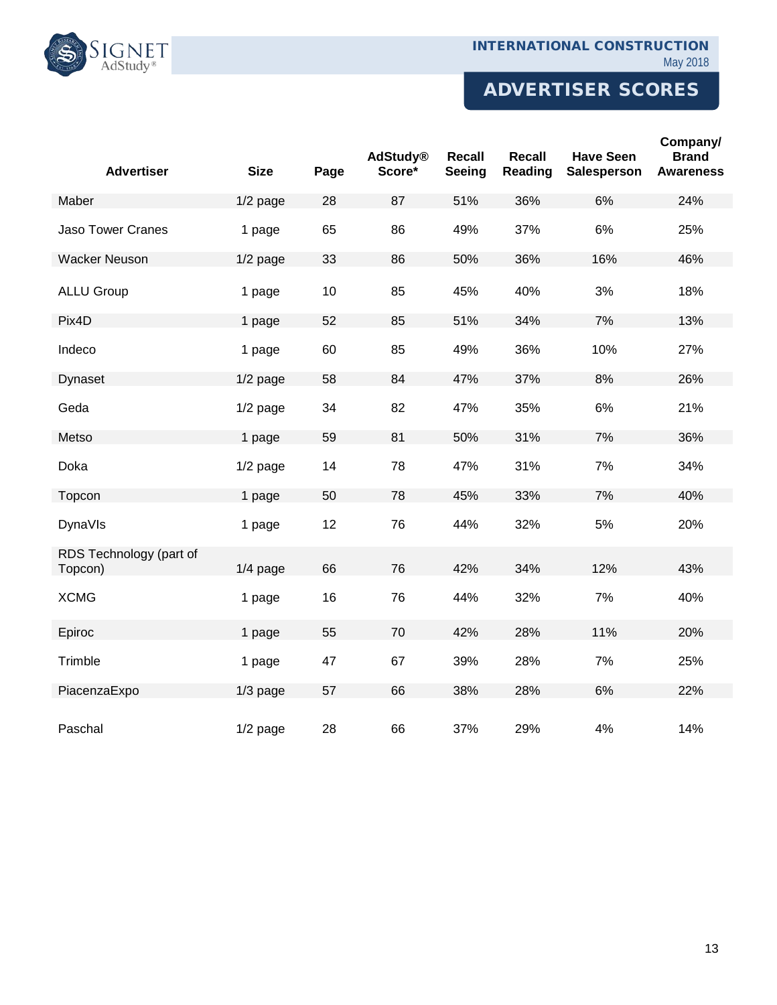

# ADVERTISER SCORES

| <b>Advertiser</b>                  | <b>Size</b> | Page | <b>AdStudy®</b><br>Score* | Recall<br>Seeing | <b>Recall</b><br>Reading | <b>Have Seen</b><br>Salesperson | Company/<br><b>Brand</b><br><b>Awareness</b> |
|------------------------------------|-------------|------|---------------------------|------------------|--------------------------|---------------------------------|----------------------------------------------|
| Maber                              | $1/2$ page  | 28   | 87                        | 51%              | 36%                      | 6%                              | 24%                                          |
| <b>Jaso Tower Cranes</b>           | 1 page      | 65   | 86                        | 49%              | 37%                      | 6%                              | 25%                                          |
| <b>Wacker Neuson</b>               | $1/2$ page  | 33   | 86                        | 50%              | 36%                      | 16%                             | 46%                                          |
| <b>ALLU Group</b>                  | 1 page      | 10   | 85                        | 45%              | 40%                      | 3%                              | 18%                                          |
| Pix4D                              | 1 page      | 52   | 85                        | 51%              | 34%                      | 7%                              | 13%                                          |
| Indeco                             | 1 page      | 60   | 85                        | 49%              | 36%                      | 10%                             | 27%                                          |
| Dynaset                            | $1/2$ page  | 58   | 84                        | 47%              | 37%                      | 8%                              | 26%                                          |
| Geda                               | $1/2$ page  | 34   | 82                        | 47%              | 35%                      | 6%                              | 21%                                          |
| Metso                              | 1 page      | 59   | 81                        | 50%              | 31%                      | 7%                              | 36%                                          |
| Doka                               | $1/2$ page  | 14   | 78                        | 47%              | 31%                      | 7%                              | 34%                                          |
| Topcon                             | 1 page      | 50   | 78                        | 45%              | 33%                      | 7%                              | 40%                                          |
| <b>DynaVIs</b>                     | 1 page      | 12   | 76                        | 44%              | 32%                      | 5%                              | 20%                                          |
| RDS Technology (part of<br>Topcon) | $1/4$ page  | 66   | 76                        | 42%              | 34%                      | 12%                             | 43%                                          |
| <b>XCMG</b>                        | 1 page      | 16   | 76                        | 44%              | 32%                      | 7%                              | 40%                                          |
| Epiroc                             | 1 page      | 55   | 70                        | 42%              | 28%                      | 11%                             | 20%                                          |
| Trimble                            | 1 page      | 47   | 67                        | 39%              | 28%                      | 7%                              | 25%                                          |
| PiacenzaExpo                       | $1/3$ page  | 57   | 66                        | 38%              | 28%                      | 6%                              | 22%                                          |
| Paschal                            | $1/2$ page  | 28   | 66                        | 37%              | 29%                      | 4%                              | 14%                                          |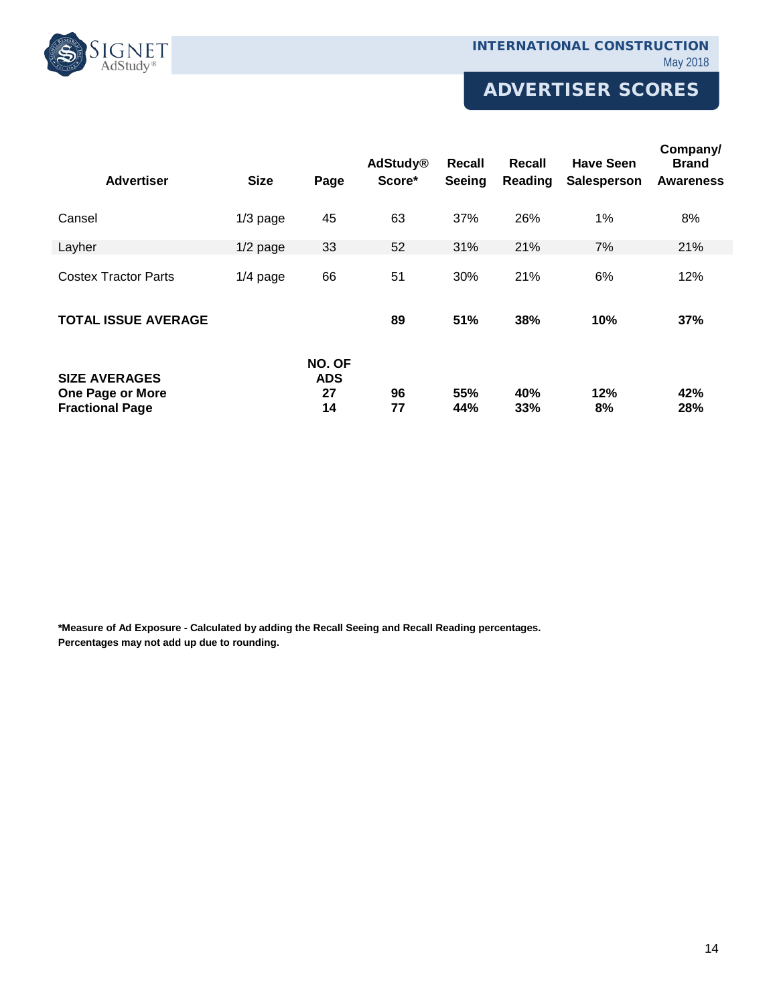

# ADVERTISER SCORES

| <b>Advertiser</b>                                                         | <b>Size</b> | Page                             | <b>AdStudy®</b><br>Score* | Recall<br><b>Seeing</b> | Recall<br>Reading | <b>Have Seen</b><br><b>Salesperson</b> | Company/<br><b>Brand</b><br><b>Awareness</b> |
|---------------------------------------------------------------------------|-------------|----------------------------------|---------------------------|-------------------------|-------------------|----------------------------------------|----------------------------------------------|
| Cansel                                                                    | $1/3$ page  | 45                               | 63                        | 37%                     | 26%               | 1%                                     | 8%                                           |
| Layher                                                                    | $1/2$ page  | 33                               | 52                        | 31%                     | 21%               | 7%                                     | 21%                                          |
| <b>Costex Tractor Parts</b>                                               | $1/4$ page  | 66                               | 51                        | 30%                     | 21%               | 6%                                     | 12%                                          |
| <b>TOTAL ISSUE AVERAGE</b>                                                |             |                                  | 89                        | 51%                     | 38%               | 10%                                    | 37%                                          |
| <b>SIZE AVERAGES</b><br><b>One Page or More</b><br><b>Fractional Page</b> |             | NO. OF<br><b>ADS</b><br>27<br>14 | 96<br>77                  | 55%<br>44%              | 40%<br>33%        | 12%<br>8%                              | 42%<br>28%                                   |

**\*Measure of Ad Exposure - Calculated by adding the Recall Seeing and Recall Reading percentages. Percentages may not add up due to rounding.**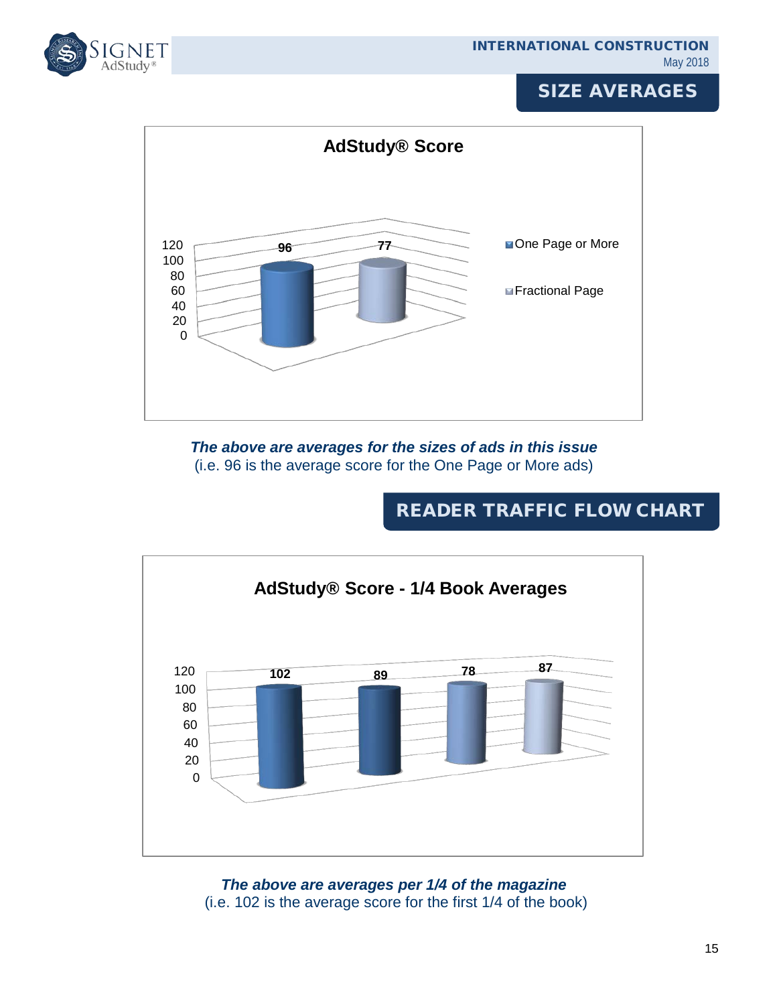

# SIZE AVERAGES



*The above are averages for the sizes of ads in this issue* (i.e. 96 is the average score for the One Page or More ads)

# READER TRAFFIC FLOW CHART



*The above are averages per 1/4 of the magazine* (i.e. 102 is the average score for the first 1/4 of the book)